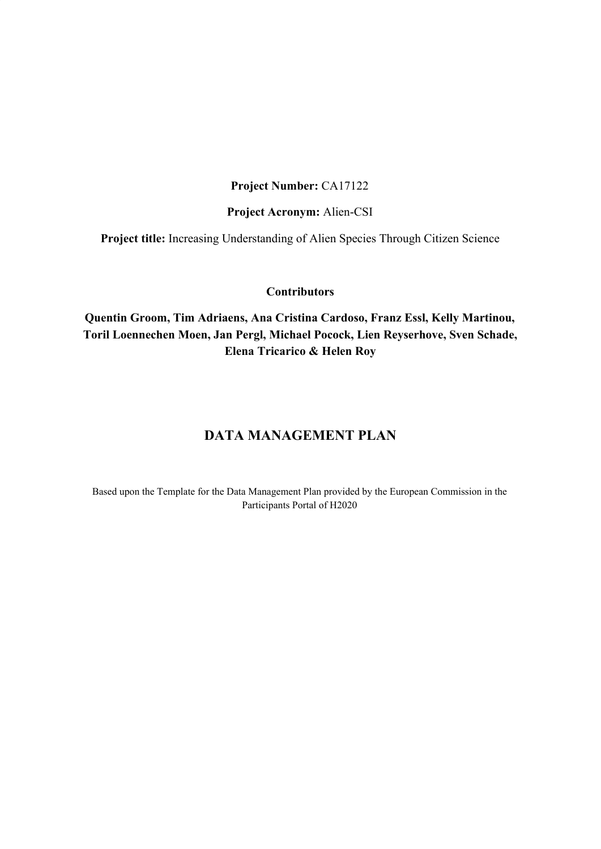#### **Project Number:** CA17122

#### **Project Acronym:** Alien-CSI

**Project title:** Increasing Understanding of Alien Species Through Citizen Science

#### **Contributors**

**Quentin Groom, Tim Adriaens, Ana Cristina Cardoso, Franz Essl, Kelly Martinou, Toril Loennechen Moen, Jan Pergl, Michael Pocock, Lien Reyserhove, Sven Schade, Elena Tricarico & Helen Roy**

### **DATA MANAGEMENT PLAN**

Based upon the Template for the Data Management Plan provided by the European Commission in the Participants Portal of H2020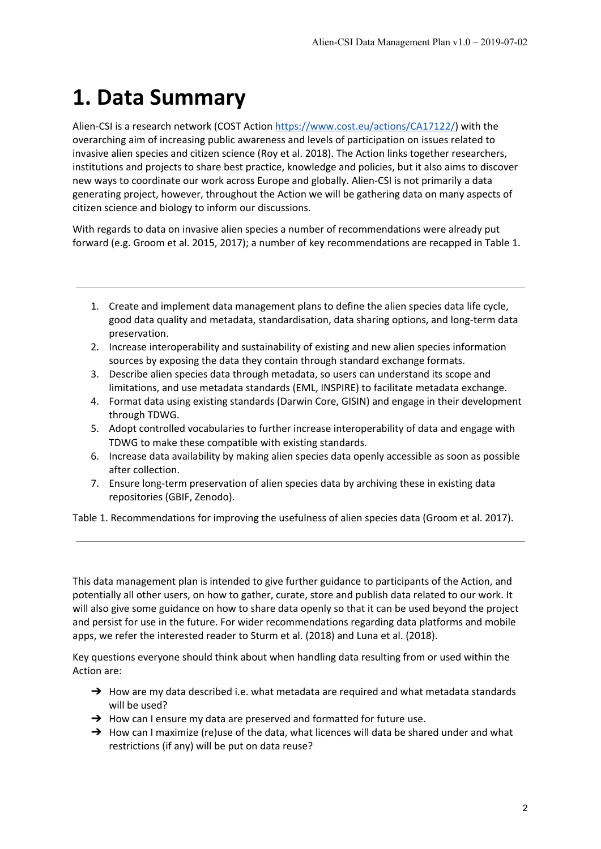## **1. Data Summary**

Alien-CSI is a research network (COST Action <https://www.cost.eu/actions/CA17122/>) with the overarching aim of increasing public awareness and levels of participation on issues related to invasive alien species and citizen science (Roy et al. 2018). The Action links together researchers, institutions and projects to share best practice, knowledge and policies, but it also aims to discover new ways to coordinate our work across Europe and globally. Alien-CSI is not primarily a data generating project, however, throughout the Action we will be gathering data on many aspects of citizen science and biology to inform our discussions.

With regards to data on invasive alien species a number of recommendations were already put forward (e.g. Groom et al. 2015, 2017); a number of key recommendations are recapped in Table 1.

- 1. Create and implement data management plans to define the alien species data life cycle, good data quality and metadata, standardisation, data sharing options, and long-term data preservation.
- 2. Increase interoperability and sustainability of existing and new alien species information sources by exposing the data they contain through standard exchange formats.
- 3. Describe alien species data through metadata, so users can understand its scope and limitations, and use metadata standards (EML, INSPIRE) to facilitate metadata exchange.
- 4. Format data using existing standards (Darwin Core, GISIN) and engage in their development through TDWG.
- 5. Adopt controlled vocabularies to further increase interoperability of data and engage with TDWG to make these compatible with existing standards.
- 6. Increase data availability by making alien species data openly accessible as soon as possible after collection.
- 7. Ensure long-term preservation of alien species data by archiving these in existing data repositories (GBIF, Zenodo).

Table 1. Recommendations for improving the usefulness of alien species data (Groom et al. 2017).

This data management plan is intended to give further guidance to participants of the Action, and potentially all other users, on how to gather, curate, store and publish data related to our work. It will also give some guidance on how to share data openly so that it can be used beyond the project and persist for use in the future. For wider recommendations regarding data platforms and mobile apps, we refer the interested reader to Sturm et al. (2018) and Luna et al. (2018).

Key questions everyone should think about when handling data resulting from or used within the Action are:

- $\rightarrow$  How are my data described i.e. what metadata are required and what metadata standards will be used?
- → How can I ensure my data are preserved and formatted for future use.
- → How can I maximize (re)use of the data, what licences will data be shared under and what restrictions (if any) will be put on data reuse?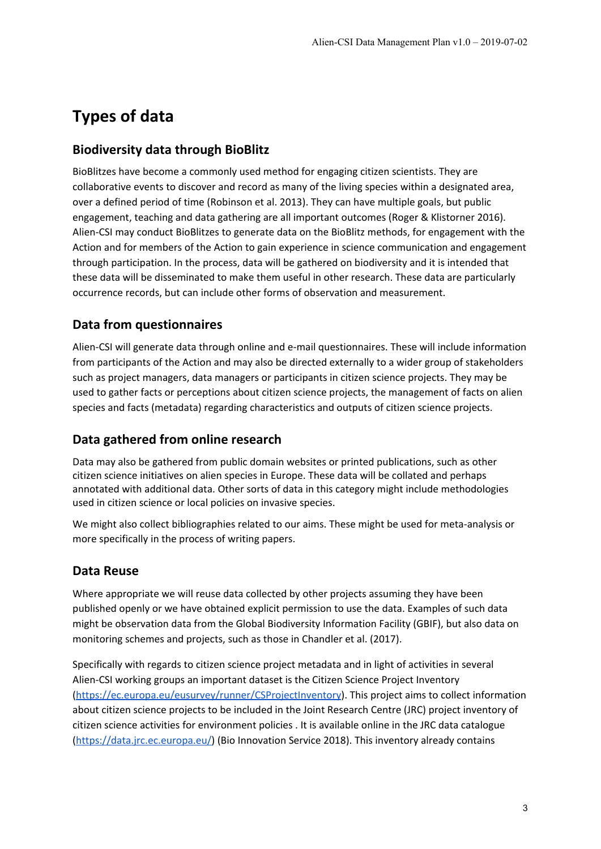## **Types of data**

### **Biodiversity data through BioBlitz**

BioBlitzes have become a commonly used method for engaging citizen scientists. They are collaborative events to discover and record as many of the living species within a designated area, over a defined period of time (Robinson et al. 2013). They can have multiple goals, but public engagement, teaching and data gathering are all important outcomes (Roger & Klistorner 2016). Alien-CSI may conduct BioBlitzes to generate data on the BioBlitz methods, for engagement with the Action and for members of the Action to gain experience in science communication and engagement through participation. In the process, data will be gathered on biodiversity and it is intended that these data will be disseminated to make them useful in other research. These data are particularly occurrence records, but can include other forms of observation and measurement.

### **Data from questionnaires**

Alien-CSI will generate data through online and e-mail questionnaires. These will include information from participants of the Action and may also be directed externally to a wider group of stakeholders such as project managers, data managers or participants in citizen science projects. They may be used to gather facts or perceptions about citizen science projects, the management of facts on alien species and facts (metadata) regarding characteristics and outputs of citizen science projects.

#### **Data gathered from online research**

Data may also be gathered from public domain websites or printed publications, such as other citizen science initiatives on alien species in Europe. These data will be collated and perhaps annotated with additional data. Other sorts of data in this category might include methodologies used in citizen science or local policies on invasive species.

We might also collect bibliographies related to our aims. These might be used for meta-analysis or more specifically in the process of writing papers.

### **Data Reuse**

Where appropriate we will reuse data collected by other projects assuming they have been published openly or we have obtained explicit permission to use the data. Examples of such data might be observation data from the Global Biodiversity Information Facility (GBIF), but also data on monitoring schemes and projects, such as those in Chandler et al. (2017).

Specifically with regards to citizen science project metadata and in light of activities in several Alien-CSI working groups an important dataset is the Citizen Science Project Inventory [\(https://ec.europa.eu/eusurvey/runner/CSProjectInventory\)](https://ec.europa.eu/eusurvey/runner/CSProjectInventory). This project aims to collect information about citizen science projects to be included in the Joint Research Centre (JRC) project inventory of citizen science activities for environment policies . It is available online in the JRC data catalogue [\(https://data.jrc.ec.europa.eu/\)](https://data.jrc.ec.europa.eu/) (Bio Innovation Service 2018). This inventory already contains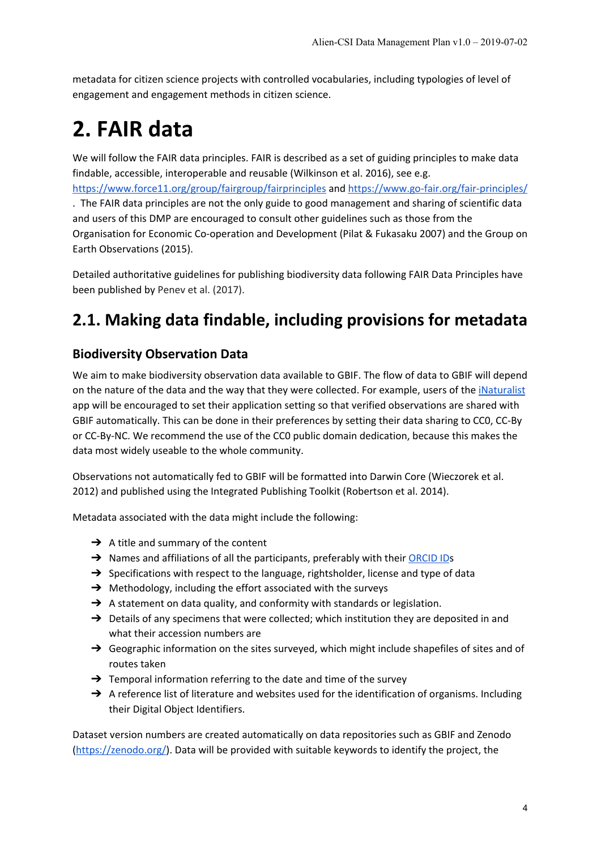metadata for citizen science projects with controlled vocabularies, including typologies of level of engagement and engagement methods in citizen science.

# **2. FAIR data**

We will follow the FAIR data principles. FAIR is described as a set of guiding principles to make data findable, accessible, interoperable and reusable (Wilkinson et al. 2016), see e.g.

<https://www.force11.org/group/fairgroup/fairprinciples> and <https://www.go-fair.org/fair-principles/> . The FAIR data principles are not the only guide to good management and sharing of scientific data and users of this DMP are encouraged to consult other guidelines such as those from the Organisation for Economic Co-operation and Development (Pilat & Fukasaku 2007) and the Group on Earth Observations (2015).

Detailed authoritative guidelines for publishing biodiversity data following FAIR Data Principles have been published by Penev et al. (2017).

## **2.1. Making data findable, including provisions for metadata**

### **Biodiversity Observation Data**

We aim to make biodiversity observation data available to GBIF. The flow of data to GBIF will depend on the nature of the data and the way that they were collected. For example, users of the *[iNaturalist](https://www.inaturalist.org/)* app will be encouraged to set their application setting so that verified observations are shared with GBIF automatically. This can be done in their preferences by setting their data sharing to CC0, CC-By or CC-By-NC. We recommend the use of the CC0 public domain dedication, because this makes the data most widely useable to the whole community.

Observations not automatically fed to GBIF will be formatted into Darwin Core (Wieczorek et al. 2012) and published using the Integrated Publishing Toolkit (Robertson et al. 2014).

Metadata associated with the data might include the following:

- $\rightarrow$  A title and summary of the content
- → Names and affiliations of all the participants, preferably with their [ORCID](https://orcid.org/) IDs
- → Specifications with respect to the language, rightsholder, license and type of data
- → Methodology, including the effort associated with the surveys
- → A statement on data quality, and conformity with standards or legislation.
- → Details of any specimens that were collected; which institution they are deposited in and what their accession numbers are
- → Geographic information on the sites surveyed, which might include shapefiles of sites and of routes taken
- $\rightarrow$  Temporal information referring to the date and time of the survey
- → A reference list of literature and websites used for the identification of organisms. Including their Digital Object Identifiers.

Dataset version numbers are created automatically on data repositories such as GBIF and Zenodo [\(https://zenodo.org/\)](https://zenodo.org/). Data will be provided with suitable keywords to identify the project, the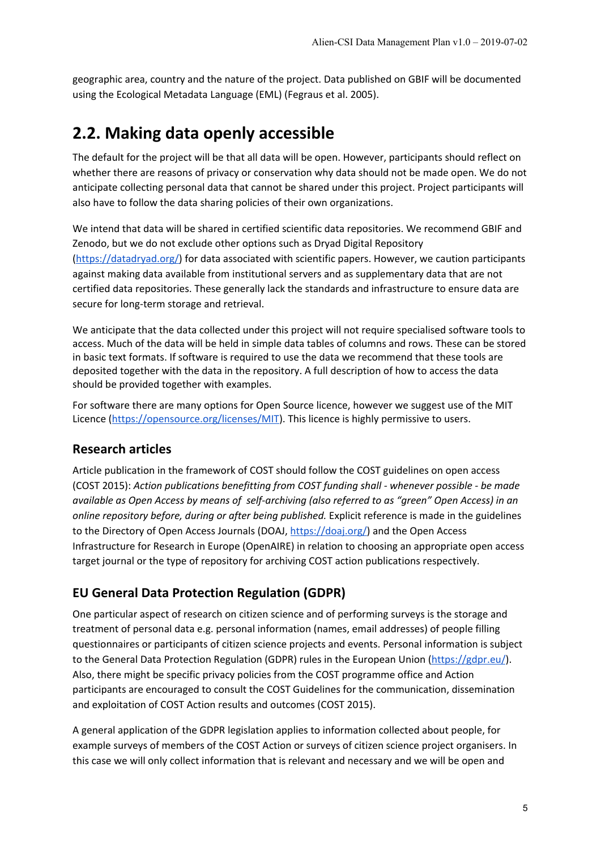geographic area, country and the nature of the project. Data published on GBIF will be documented using the Ecological Metadata Language (EML) (Fegraus et al. 2005).

### **2.2. Making data openly accessible**

The default for the project will be that all data will be open. However, participants should reflect on whether there are reasons of privacy or conservation why data should not be made open. We do not anticipate collecting personal data that cannot be shared under this project. Project participants will also have to follow the data sharing policies of their own organizations.

We intend that data will be shared in certified scientific data repositories. We recommend GBIF and Zenodo, but we do not exclude other options such as Dryad Digital Repository [\(https://datadryad.org/\)](https://datadryad.org/) for data associated with scientific papers. However, we caution participants against making data available from institutional servers and as supplementary data that are not certified data repositories. These generally lack the standards and infrastructure to ensure data are secure for long-term storage and retrieval.

We anticipate that the data collected under this project will not require specialised software tools to access. Much of the data will be held in simple data tables of columns and rows. These can be stored in basic text formats. If software is required to use the data we recommend that these tools are deposited together with the data in the repository. A full description of how to access the data should be provided together with examples.

For software there are many options for Open Source licence, however we suggest use of the MIT Licence [\(https://opensource.org/licenses/MIT](https://opensource.org/licenses/MIT)). This licence is highly permissive to users.

#### **Research articles**

Article publication in the framework of COST should follow the COST guidelines on open access (COST 2015): *Action publications benefitting from COST funding shall - whenever possible - be made available as Open Access by means of self-archiving (also referred to as "green" Open Access) in an online repository before, during or after being published.* Explicit reference is made in the guidelines to the Directory of Open Access Journals (DOAJ, [https://doaj.org/\)](https://doaj.org/) and the Open Access Infrastructure for Research in Europe (OpenAIRE) in relation to choosing an appropriate open access target journal or the type of repository for archiving COST action publications respectively.

### **EU General Data Protection Regulation (GDPR)**

One particular aspect of research on citizen science and of performing surveys is the storage and treatment of personal data e.g. personal information (names, email addresses) of people filling questionnaires or participants of citizen science projects and events. Personal information is subject to the General Data Protection Regulation (GDPR) rules in the European Union [\(https://gdpr.eu/](https://gdpr.eu/)). Also, there might be specific privacy policies from the COST programme office and Action participants are encouraged to consult the COST Guidelines for the communication, dissemination and exploitation of COST Action results and outcomes (COST 2015).

A general application of the GDPR legislation applies to information collected about people, for example surveys of members of the COST Action or surveys of citizen science project organisers. In this case we will only collect information that is relevant and necessary and we will be open and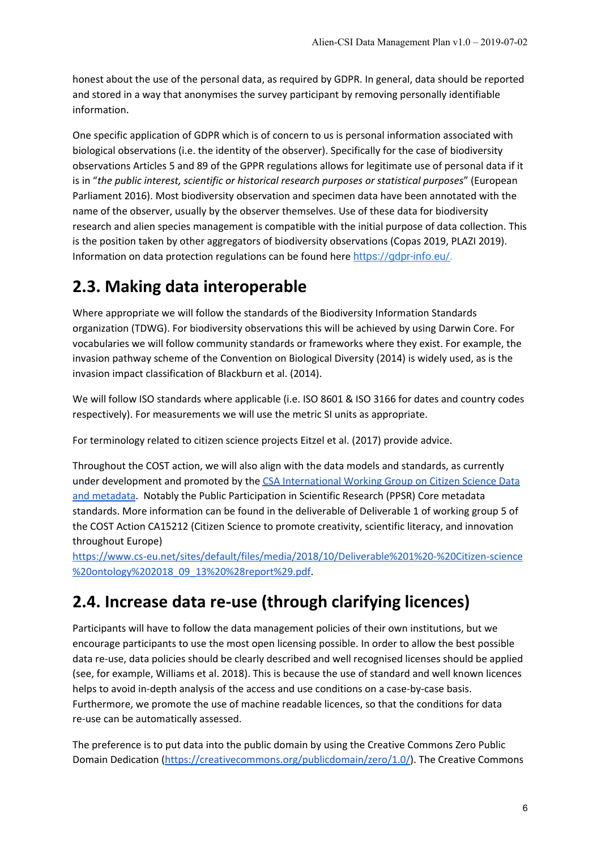honest about the use of the personal data, as required by GDPR. In general, data should be reported and stored in a way that anonymises the survey participant by removing personally identifiable information.

One specific application of GDPR which is of concern to us is personal information associated with biological observations (i.e. the identity of the observer). Specifically for the case of biodiversity observations Articles 5 and 89 of the GPPR regulations allows for legitimate use of personal data if it is in "*the public interest, scientific or historical research purposes or statistical purposes*" (European Parliament 2016). Most biodiversity observation and specimen data have been annotated with the name of the observer, usually by the observer themselves. Use of these data for biodiversity research and alien species management is compatible with the initial purpose of data collection. This is the position taken by other aggregators of biodiversity observations (Copas 2019, PLAZI 2019). Information on data protection regulations can be found here <https://gdpr-info.eu/>.

### **2.3. Making data interoperable**

Where appropriate we will follow the standards of the Biodiversity Information Standards organization (TDWG). For biodiversity observations this will be achieved by using Darwin Core. For vocabularies we will follow community standards or frameworks where they exist. For example, the invasion pathway scheme of the Convention on Biological Diversity (2014) is widely used, as is the invasion impact classification of Blackburn et al. (2014).

We will follow ISO standards where applicable (i.e. ISO 8601 & ISO 3166 for dates and country codes respectively). For measurements we will use the metric SI units as appropriate.

For terminology related to citizen science projects Eitzel et al. (2017) provide advice.

Throughout the COST action, we will also align with the data models and standards, as currently under development and promoted by the CSA [International](https://github.com/CitSciAssoc/DMWG-PPSR-Core/wiki/The-CSA-Data-&-Metadata-Working-Group) Working Group on Citizen Science Data and [metadata](https://github.com/CitSciAssoc/DMWG-PPSR-Core/wiki/The-CSA-Data-&-Metadata-Working-Group). Notably the Public Participation in Scientific Research (PPSR) Core metadata standards. More information can be found in the deliverable of Deliverable 1 of working group 5 of the COST Action CA15212 (Citizen Science to promote creativity, scientific literacy, and innovation throughout Europe)

[https://www.cs-eu.net/sites/default/files/media/2018/10/Deliverable%201%20-%20Citizen-science](https://www.cs-eu.net/sites/default/files/media/2018/10/Deliverable%201%20-%20Citizen-science%20ontology%202018_09_13%20%28report%29.pdf) [%20ontology%202018\\_09\\_13%20%28report%29.pdf.](https://www.cs-eu.net/sites/default/files/media/2018/10/Deliverable%201%20-%20Citizen-science%20ontology%202018_09_13%20%28report%29.pdf)

### **2.4. Increase data re-use (through clarifying licences)**

Participants will have to follow the data management policies of their own institutions, but we encourage participants to use the most open licensing possible. In order to allow the best possible data re-use, data policies should be clearly described and well recognised licenses should be applied (see, for example, Williams et al. 2018). This is because the use of standard and well known licences helps to avoid in-depth analysis of the access and use conditions on a case-by-case basis. Furthermore, we promote the use of machine readable licences, so that the conditions for data re-use can be automatically assessed.

The preference is to put data into the public domain by using the Creative Commons Zero Public Domain Dedication ([https://creativecommons.org/publicdomain/zero/1.0/\)](https://creativecommons.org/publicdomain/zero/1.0/). The Creative Commons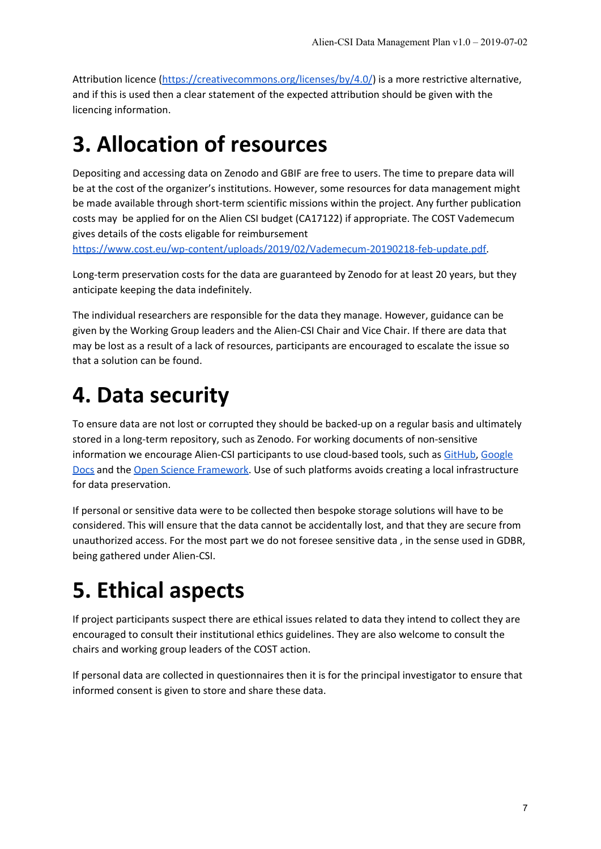Attribution licence (<https://creativecommons.org/licenses/by/4.0/>) is a more restrictive alternative, and if this is used then a clear statement of the expected attribution should be given with the licencing information.

## **3. Allocation of resources**

Depositing and accessing data on Zenodo and GBIF are free to users. The time to prepare data will be at the cost of the organizer's institutions. However, some resources for data management might be made available through short-term scientific missions within the project. Any further publication costs may be applied for on the Alien CSI budget (CA17122) if appropriate. The COST Vademecum gives details of the costs eligable for reimbursement

[https://www.cost.eu/wp-content/uploads/2019/02/Vademecum-20190218-feb-update.pdf.](https://www.cost.eu/wp-content/uploads/2019/02/Vademecum-20190218-feb-update.pdf)

Long-term preservation costs for the data are guaranteed by Zenodo for at least 20 years, but they anticipate keeping the data indefinitely.

The individual researchers are responsible for the data they manage. However, guidance can be given by the Working Group leaders and the Alien-CSI Chair and Vice Chair. If there are data that may be lost as a result of a lack of resources, participants are encouraged to escalate the issue so that a solution can be found.

## **4. Data security**

To ensure data are not lost or corrupted they should be backed-up on a regular basis and ultimately stored in a long-term repository, such as Zenodo. For working documents of non-sensitive information we encourage Alien-CSI participants to use cloud-based tools, such as [GitHub](https://github.com/), [Google](https://www.google.com/docs/about/) [Docs](https://www.google.com/docs/about/) and the Open Science [Framework.](https://osf.io/) Use of such platforms avoids creating a local infrastructure for data preservation.

If personal or sensitive data were to be collected then bespoke storage solutions will have to be considered. This will ensure that the data cannot be accidentally lost, and that they are secure from unauthorized access. For the most part we do not foresee sensitive data , in the sense used in GDBR, being gathered under Alien-CSI.

# **5. Ethical aspects**

If project participants suspect there are ethical issues related to data they intend to collect they are encouraged to consult their institutional ethics guidelines. They are also welcome to consult the chairs and working group leaders of the COST action.

If personal data are collected in questionnaires then it is for the principal investigator to ensure that informed consent is given to store and share these data.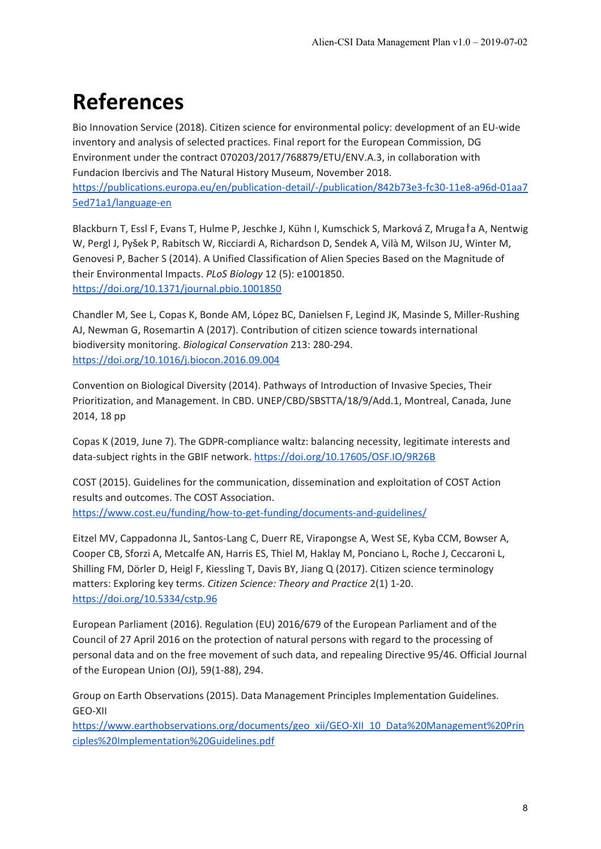# **References**

Bio Innovation Service (2018). Citizen science for environmental policy: development of an EU-wide inventory and analysis of selected practices. Final report for the European Commission, DG Environment under the contract 070203/2017/768879/ETU/ENV.A.3, in collaboration with Fundacion Ibercivis and The Natural History Museum, November 2018. [https://publications.europa.eu/en/publication-detail/-/publication/842b73e3-fc30-11e8-a96d-01aa7](https://publications.europa.eu/en/publication-detail/-/publication/842b73e3-fc30-11e8-a96d-01aa75ed71a1/language-en) [5ed71a1/language-en](https://publications.europa.eu/en/publication-detail/-/publication/842b73e3-fc30-11e8-a96d-01aa75ed71a1/language-en)

Blackburn T, Essl F, Evans T, Hulme P, Jeschke J, Kühn I, Kumschick S, Marková Z, Mrugała A, Nentwig W, Pergl J, Pyšek P, Rabitsch W, Ricciardi A, Richardson D, Sendek A, Vilà M, Wilson JU, Winter M, Genovesi P, Bacher S (2014). A Unified Classification of Alien Species Based on the Magnitude of their Environmental Impacts. *PLoS Biology* 12 (5): e1001850. <https://doi.org/10.1371/journal.pbio.1001850>

Chandler M, See L, Copas K, Bonde AM, López BC, Danielsen F, Legind JK, Masinde S, Miller-Rushing AJ, Newman G, Rosemartin A (2017). Contribution of citizen science towards international biodiversity monitoring. *Biological Conservation* 213: 280-294. <https://doi.org/10.1016/j.biocon.2016.09.004>

Convention on Biological Diversity (2014). Pathways of Introduction of Invasive Species, Their Prioritization, and Management. In CBD. UNEP/CBD/SBSTTA/18/9/Add.1, Montreal, Canada, June 2014, 18 pp

Copas K (2019, June 7). The GDPR-compliance waltz: balancing necessity, legitimate interests and data-subject rights in the GBIF network. <https://doi.org/10.17605/OSF.IO/9R26B>

COST (2015). Guidelines for the communication, dissemination and exploitation of COST Action results and outcomes. The COST Association. <https://www.cost.eu/funding/how-to-get-funding/documents-and-guidelines/>

Eitzel MV, Cappadonna JL, Santos-Lang C, Duerr RE, Virapongse A, West SE, Kyba CCM, Bowser A, Cooper CB, Sforzi A, Metcalfe AN, Harris ES, Thiel M, Haklay M, Ponciano L, Roche J, Ceccaroni L, Shilling FM, Dörler D, Heigl F, Kiessling T, Davis BY, Jiang Q (2017). Citizen science terminology matters: Exploring key terms. *Citizen Science: Theory and Practice* 2(1) 1-20. <https://doi.org/10.5334/cstp.96>

European Parliament (2016). Regulation (EU) 2016/679 of the European Parliament and of the Council of 27 April 2016 on the protection of natural persons with regard to the processing of personal data and on the free movement of such data, and repealing Directive 95/46. Official Journal of the European Union (OJ), 59(1-88), 294.

Group on Earth Observations (2015). Data Management Principles Implementation Guidelines. GEO-XII

[https://www.earthobservations.org/documents/geo\\_xii/GEO-XII\\_10\\_Data%20Management%20Prin](https://www.earthobservations.org/documents/geo_xii/GEO-XII_10_Data%20Management%20Principles%20Implementation%20Guidelines.pdf) [ciples%20Implementation%20Guidelines.pdf](https://www.earthobservations.org/documents/geo_xii/GEO-XII_10_Data%20Management%20Principles%20Implementation%20Guidelines.pdf)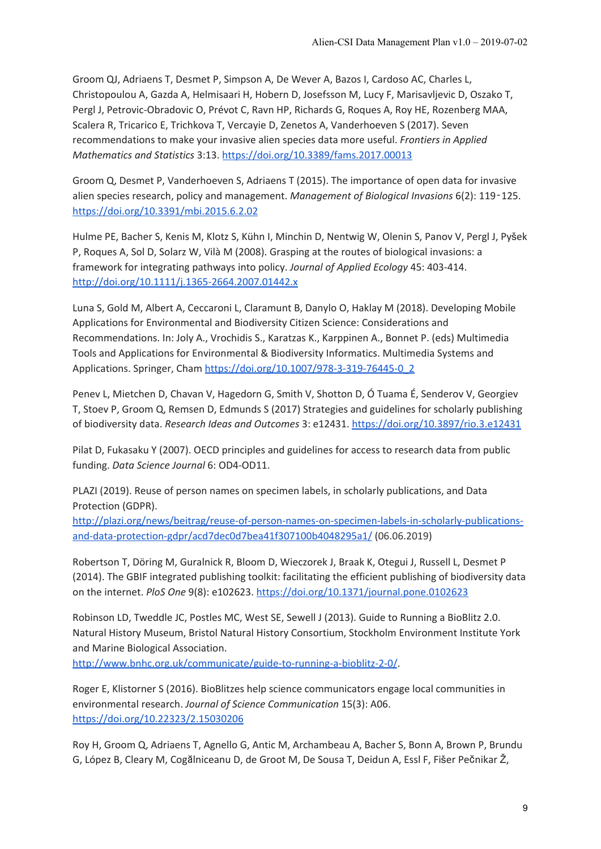Groom QJ, Adriaens T, Desmet P, Simpson A, De Wever A, Bazos I, Cardoso AC, Charles L, Christopoulou A, Gazda A, Helmisaari H, Hobern D, Josefsson M, Lucy F, Marisavljevic D, Oszako T, Pergl J, Petrovic-Obradovic O, Prévot C, Ravn HP, Richards G, Roques A, Roy HE, Rozenberg MAA, Scalera R, Tricarico E, Trichkova T, Vercayie D, Zenetos A, Vanderhoeven S (2017). Seven recommendations to make your invasive alien species data more useful. *Frontiers in Applied Mathematics and Statistics* 3:13. <https://doi.org/10.3389/fams.2017.00013>

Groom Q, Desmet P, Vanderhoeven S, Adriaens T (2015). The importance of open data for invasive alien species research, policy and management. *Management of Biological Invasions* 6(2): 119‑125. <https://doi.org/10.3391/mbi.2015.6.2.02>

Hulme PE, Bacher S, Kenis M, Klotz S, Kühn I, Minchin D, Nentwig W, Olenin S, Panov V, Pergl J, Pyšek P, Roques A, Sol D, Solarz W, Vilà M (2008). Grasping at the routes of biological invasions: a framework for integrating pathways into policy. *Journal of Applied Ecology* 45: 403-414. <http://doi.org/10.1111/j.1365-2664.2007.01442.x>

Luna S, Gold M, Albert A, Ceccaroni L, Claramunt B, Danylo O, Haklay M (2018). Developing Mobile Applications for Environmental and Biodiversity Citizen Science: Considerations and Recommendations. In: Joly A., Vrochidis S., Karatzas K., Karppinen A., Bonnet P. (eds) Multimedia Tools and Applications for Environmental & Biodiversity Informatics. Multimedia Systems and Applications. Springer, Cham [https://doi.org/10.1007/978-3-319-76445-0\\_2](https://doi.org/10.1007/978-3-319-76445-0_2)

Penev L, Mietchen D, Chavan V, Hagedorn G, Smith V, Shotton D, Ó Tuama É, Senderov V, Georgiev T, Stoev P, Groom Q, Remsen D, Edmunds S (2017) Strategies and guidelines for scholarly publishing of biodiversity data. *Research Ideas and Outcomes* 3: e12431. <https://doi.org/10.3897/rio.3.e12431>

Pilat D, Fukasaku Y (2007). OECD principles and guidelines for access to research data from public funding. *Data Science Journal* 6: OD4-OD11.

PLAZI (2019). Reuse of person names on specimen labels, in scholarly publications, and Data Protection (GDPR).

[http://plazi.org/news/beitrag/reuse-of-person-names-on-specimen-labels-in-scholarly-publications](http://plazi.org/news/beitrag/reuse-of-person-names-on-specimen-labels-in-scholarly-publications-and-data-protection-gdpr/acd7dec0d7bea41f307100b4048295a1/)[and-data-protection-gdpr/acd7dec0d7bea41f307100b4048295a1/](http://plazi.org/news/beitrag/reuse-of-person-names-on-specimen-labels-in-scholarly-publications-and-data-protection-gdpr/acd7dec0d7bea41f307100b4048295a1/) (06.06.2019)

Robertson T, Döring M, Guralnick R, Bloom D, Wieczorek J, Braak K, Otegui J, Russell L, Desmet P (2014). The GBIF integrated publishing toolkit: facilitating the efficient publishing of biodiversity data on the internet. *PloS One* 9(8): e102623. <https://doi.org/10.1371/journal.pone.0102623>

Robinson LD, Tweddle JC, Postles MC, West SE, Sewell J (2013). Guide to Running a BioBlitz 2.0. Natural History Museum, Bristol Natural History Consortium, Stockholm Environment Institute York and Marine Biological Association.

<http://www.bnhc.org.uk/communicate/guide-to-running-a-bioblitz-2-0/>.

Roger E, Klistorner S (2016). BioBlitzes help science communicators engage local communities in environmental research. *Journal of Science Communication* 15(3): A06. <https://doi.org/10.22323/2.15030206>

Roy H, Groom Q, Adriaens T, Agnello G, Antic M, Archambeau A, Bacher S, Bonn A, Brown P, Brundu G, López B, Cleary M, Cogălniceanu D, de Groot M, De Sousa T, Deidun A, Essl F, Fišer Pečnikar Ž,